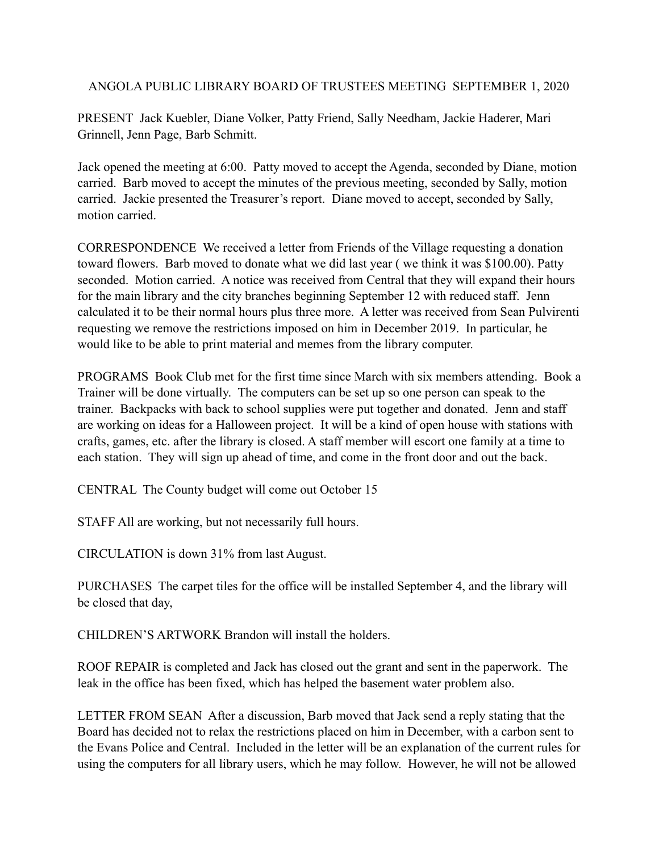ANGOLA PUBLIC LIBRARY BOARD OF TRUSTEES MEETING SEPTEMBER 1, 2020

PRESENT Jack Kuebler, Diane Volker, Patty Friend, Sally Needham, Jackie Haderer, Mari Grinnell, Jenn Page, Barb Schmitt.

Jack opened the meeting at 6:00. Patty moved to accept the Agenda, seconded by Diane, motion carried. Barb moved to accept the minutes of the previous meeting, seconded by Sally, motion carried. Jackie presented the Treasurer's report. Diane moved to accept, seconded by Sally, motion carried.

CORRESPONDENCE We received a letter from Friends of the Village requesting a donation toward flowers. Barb moved to donate what we did last year ( we think it was \$100.00). Patty seconded. Motion carried. A notice was received from Central that they will expand their hours for the main library and the city branches beginning September 12 with reduced staff. Jenn calculated it to be their normal hours plus three more. A letter was received from Sean Pulvirenti requesting we remove the restrictions imposed on him in December 2019. In particular, he would like to be able to print material and memes from the library computer.

PROGRAMS Book Club met for the first time since March with six members attending. Book a Trainer will be done virtually. The computers can be set up so one person can speak to the trainer. Backpacks with back to school supplies were put together and donated. Jenn and staff are working on ideas for a Halloween project. It will be a kind of open house with stations with crafts, games, etc. after the library is closed. A staff member will escort one family at a time to each station. They will sign up ahead of time, and come in the front door and out the back.

CENTRAL The County budget will come out October 15

STAFF All are working, but not necessarily full hours.

CIRCULATION is down 31% from last August.

PURCHASES The carpet tiles for the office will be installed September 4, and the library will be closed that day,

CHILDREN'S ARTWORK Brandon will install the holders.

ROOF REPAIR is completed and Jack has closed out the grant and sent in the paperwork. The leak in the office has been fixed, which has helped the basement water problem also.

LETTER FROM SEAN After a discussion, Barb moved that Jack send a reply stating that the Board has decided not to relax the restrictions placed on him in December, with a carbon sent to the Evans Police and Central. Included in the letter will be an explanation of the current rules for using the computers for all library users, which he may follow. However, he will not be allowed